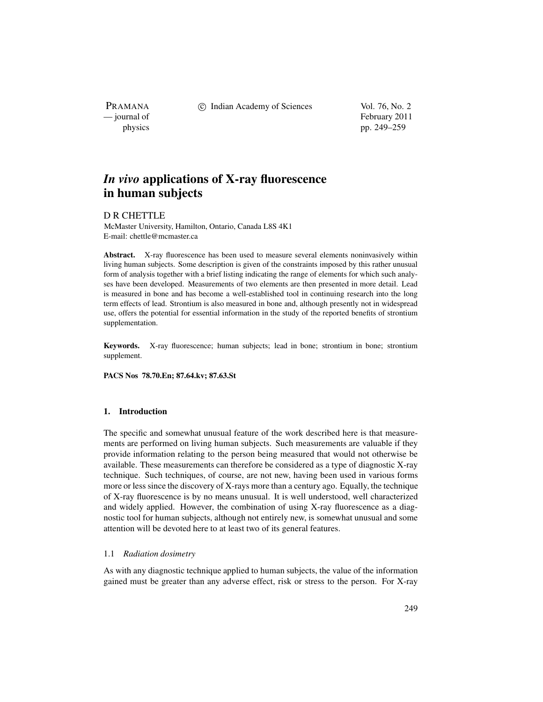PRAMANA<br>
— journal of

c Indian Academy of Sciences Vol. 76, No. 2

February 2011 physics pp. 249–259

# *In vivo* **applications of X-ray fluorescence in human subjects**

D R CHETTLE

McMaster University, Hamilton, Ontario, Canada L8S 4K1 E-mail: chettle@mcmaster.ca

**Abstract.** X-ray fluorescence has been used to measure several elements noninvasively within living human subjects. Some description is given of the constraints imposed by this rather unusual form of analysis together with a brief listing indicating the range of elements for which such analyses have been developed. Measurements of two elements are then presented in more detail. Lead is measured in bone and has become a well-established tool in continuing research into the long term effects of lead. Strontium is also measured in bone and, although presently not in widespread use, offers the potential for essential information in the study of the reported benefits of strontium supplementation.

**Keywords.** X-ray fluorescence; human subjects; lead in bone; strontium in bone; strontium supplement.

**PACS Nos 78.70.En; 87.64.kv; 87.63.St**

# **1. Introduction**

The specific and somewhat unusual feature of the work described here is that measurements are performed on living human subjects. Such measurements are valuable if they provide information relating to the person being measured that would not otherwise be available. These measurements can therefore be considered as a type of diagnostic X-ray technique. Such techniques, of course, are not new, having been used in various forms more or less since the discovery of X-rays more than a century ago. Equally, the technique of X-ray fluorescence is by no means unusual. It is well understood, well characterized and widely applied. However, the combination of using X-ray fluorescence as a diagnostic tool for human subjects, although not entirely new, is somewhat unusual and some attention will be devoted here to at least two of its general features.

## 1.1 *Radiation dosimetry*

As with any diagnostic technique applied to human subjects, the value of the information gained must be greater than any adverse effect, risk or stress to the person. For X-ray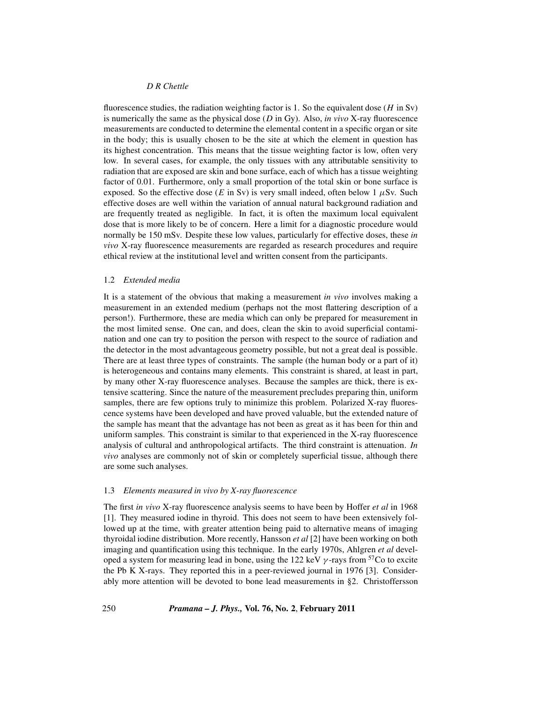fluorescence studies, the radiation weighting factor is 1. So the equivalent dose (*H* in Sv) is numerically the same as the physical dose (*D* in Gy). Also, *in vivo* X-ray fluorescence measurements are conducted to determine the elemental content in a specific organ or site in the body; this is usually chosen to be the site at which the element in question has its highest concentration. This means that the tissue weighting factor is low, often very low. In several cases, for example, the only tissues with any attributable sensitivity to radiation that are exposed are skin and bone surface, each of which has a tissue weighting factor of 0.01. Furthermore, only a small proportion of the total skin or bone surface is exposed. So the effective dose (*E* in Sv) is very small indeed, often below 1  $\mu$ Sv. Such effective doses are well within the variation of annual natural background radiation and are frequently treated as negligible. In fact, it is often the maximum local equivalent dose that is more likely to be of concern. Here a limit for a diagnostic procedure would normally be 150 mSv. Despite these low values, particularly for effective doses, these *in vivo* X-ray fluorescence measurements are regarded as research procedures and require ethical review at the institutional level and written consent from the participants.

#### 1.2 *Extended media*

It is a statement of the obvious that making a measurement *in vivo* involves making a measurement in an extended medium (perhaps not the most flattering description of a person!). Furthermore, these are media which can only be prepared for measurement in the most limited sense. One can, and does, clean the skin to avoid superficial contamination and one can try to position the person with respect to the source of radiation and the detector in the most advantageous geometry possible, but not a great deal is possible. There are at least three types of constraints. The sample (the human body or a part of it) is heterogeneous and contains many elements. This constraint is shared, at least in part, by many other X-ray fluorescence analyses. Because the samples are thick, there is extensive scattering. Since the nature of the measurement precludes preparing thin, uniform samples, there are few options truly to minimize this problem. Polarized X-ray fluorescence systems have been developed and have proved valuable, but the extended nature of the sample has meant that the advantage has not been as great as it has been for thin and uniform samples. This constraint is similar to that experienced in the X-ray fluorescence analysis of cultural and anthropological artifacts. The third constraint is attenuation. *In vivo* analyses are commonly not of skin or completely superficial tissue, although there are some such analyses.

#### 1.3 *Elements measured in vivo by X-ray fluorescence*

The first *in vivo* X-ray fluorescence analysis seems to have been by Hoffer *et al* in 1968 [1]. They measured iodine in thyroid. This does not seem to have been extensively followed up at the time, with greater attention being paid to alternative means of imaging thyroidal iodine distribution. More recently, Hansson *et al* [2] have been working on both imaging and quantification using this technique. In the early 1970s, Ahlgren *et al* developed a system for measuring lead in bone, using the 122 keV  $\gamma$ -rays from <sup>57</sup>Co to excite the Pb K X-rays. They reported this in a peer-reviewed journal in 1976 [3]. Considerably more attention will be devoted to bone lead measurements in §2. Christoffersson

# 250 *Pramana – J. Phys.,* **Vol. 76, No. 2**, **February 2011**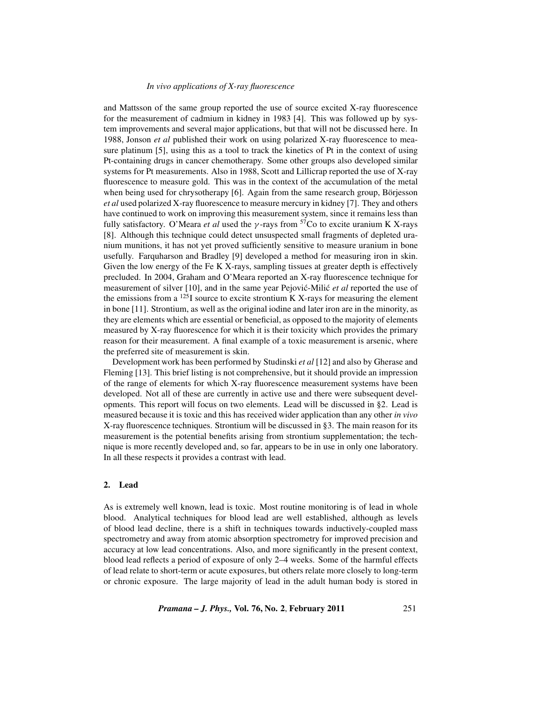and Mattsson of the same group reported the use of source excited X-ray fluorescence for the measurement of cadmium in kidney in 1983 [4]. This was followed up by system improvements and several major applications, but that will not be discussed here. In 1988, Jonson *et al* published their work on using polarized X-ray fluorescence to measure platinum [5], using this as a tool to track the kinetics of Pt in the context of using Pt-containing drugs in cancer chemotherapy. Some other groups also developed similar systems for Pt measurements. Also in 1988, Scott and Lillicrap reported the use of X-ray fluorescence to measure gold. This was in the context of the accumulation of the metal when being used for chrysotherapy [6]. Again from the same research group, Börjesson *et al* used polarized X-ray fluorescence to measure mercury in kidney [7]. They and others have continued to work on improving this measurement system, since it remains less than fully satisfactory. O'Meara *et al* used the  $\gamma$ -rays from <sup>57</sup>Co to excite uranium K X-rays [8]. Although this technique could detect unsuspected small fragments of depleted uranium munitions, it has not yet proved sufficiently sensitive to measure uranium in bone usefully. Farquharson and Bradley [9] developed a method for measuring iron in skin. Given the low energy of the Fe K X-rays, sampling tissues at greater depth is effectively precluded. In 2004, Graham and O'Meara reported an X-ray fluorescence technique for measurement of silver [10], and in the same year Pejović-Milić *et al* reported the use of the emissions from a  $^{125}I$  source to excite strontium K X-rays for measuring the element in bone [11]. Strontium, as well as the original iodine and later iron are in the minority, as they are elements which are essential or beneficial, as opposed to the majority of elements measured by X-ray fluorescence for which it is their toxicity which provides the primary reason for their measurement. A final example of a toxic measurement is arsenic, where the preferred site of measurement is skin.

Development work has been performed by Studinski *et al* [12] and also by Gherase and Fleming [13]. This brief listing is not comprehensive, but it should provide an impression of the range of elements for which X-ray fluorescence measurement systems have been developed. Not all of these are currently in active use and there were subsequent developments. This report will focus on two elements. Lead will be discussed in §2. Lead is measured because it is toxic and this has received wider application than any other *in vivo* X-ray fluorescence techniques. Strontium will be discussed in §3. The main reason for its measurement is the potential benefits arising from strontium supplementation; the technique is more recently developed and, so far, appears to be in use in only one laboratory. In all these respects it provides a contrast with lead.

# **2. Lead**

As is extremely well known, lead is toxic. Most routine monitoring is of lead in whole blood. Analytical techniques for blood lead are well established, although as levels of blood lead decline, there is a shift in techniques towards inductively-coupled mass spectrometry and away from atomic absorption spectrometry for improved precision and accuracy at low lead concentrations. Also, and more significantly in the present context, blood lead reflects a period of exposure of only 2–4 weeks. Some of the harmful effects of lead relate to short-term or acute exposures, but others relate more closely to long-term or chronic exposure. The large majority of lead in the adult human body is stored in

*Pramana – J. Phys.,* **Vol. 76, No. 2**, **February 2011** 251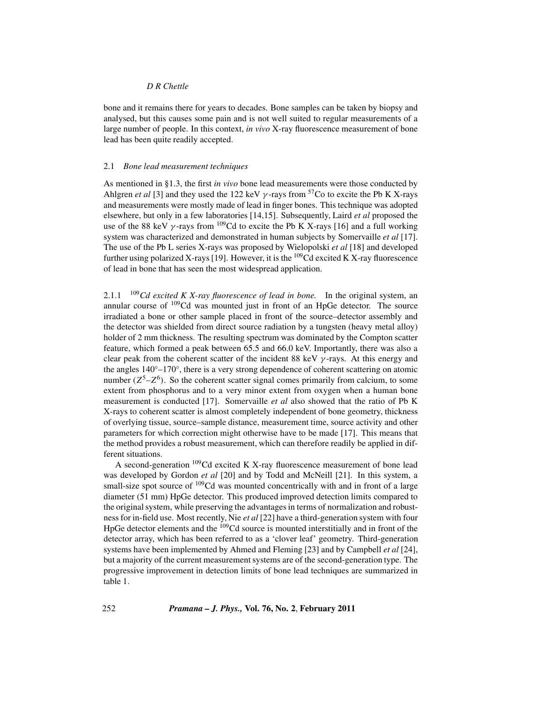bone and it remains there for years to decades. Bone samples can be taken by biopsy and analysed, but this causes some pain and is not well suited to regular measurements of a large number of people. In this context, *in vivo* X-ray fluorescence measurement of bone lead has been quite readily accepted.

## 2.1 *Bone lead measurement techniques*

As mentioned in §1.3, the first *in vivo* bone lead measurements were those conducted by Ahlgren *et al* [3] and they used the 122 keV  $\gamma$ -rays from <sup>57</sup>Co to excite the Pb K X-rays and measurements were mostly made of lead in finger bones. This technique was adopted elsewhere, but only in a few laboratories [14,15]. Subsequently, Laird *et al* proposed the use of the 88 keV  $\gamma$ -rays from <sup>109</sup>Cd to excite the Pb K X-rays [16] and a full working system was characterized and demonstrated in human subjects by Somervaille *et al* [17]. The use of the Pb L series X-rays was proposed by Wielopolski *et al* [18] and developed further using polarized X-rays [19]. However, it is the  $^{109}$ Cd excited K X-ray fluorescence of lead in bone that has seen the most widespread application.

2.1.1  $109$ Cd excited K X-ray fluorescence of lead in bone. In the original system, an annular course of  $109$ Cd was mounted just in front of an HpGe detector. The source irradiated a bone or other sample placed in front of the source–detector assembly and the detector was shielded from direct source radiation by a tungsten (heavy metal alloy) holder of 2 mm thickness. The resulting spectrum was dominated by the Compton scatter feature, which formed a peak between 65.5 and 66.0 keV. Importantly, there was also a clear peak from the coherent scatter of the incident 88 keV  $\gamma$ -rays. At this energy and the angles 140◦–170◦, there is a very strong dependence of coherent scattering on atomic number  $(Z^5 - Z^6)$ . So the coherent scatter signal comes primarily from calcium, to some extent from phosphorus and to a very minor extent from oxygen when a human bone measurement is conducted [17]. Somervaille *et al* also showed that the ratio of Pb K X-rays to coherent scatter is almost completely independent of bone geometry, thickness of overlying tissue, source–sample distance, measurement time, source activity and other parameters for which correction might otherwise have to be made [17]. This means that the method provides a robust measurement, which can therefore readily be applied in different situations.

A second-generation  $109$ Cd excited K X-ray fluorescence measurement of bone lead was developed by Gordon *et al* [20] and by Todd and McNeill [21]. In this system, a small-size spot source of <sup>109</sup>Cd was mounted concentrically with and in front of a large diameter (51 mm) HpGe detector. This produced improved detection limits compared to the original system, while preserving the advantages in terms of normalization and robustness for in-field use. Most recently, Nie *et al* [22] have a third-generation system with four HpGe detector elements and the <sup>109</sup>Cd source is mounted interstitially and in front of the detector array, which has been referred to as a 'clover leaf' geometry. Third-generation systems have been implemented by Ahmed and Fleming [23] and by Campbell *et al* [24], but a majority of the current measurement systems are of the second-generation type. The progressive improvement in detection limits of bone lead techniques are summarized in table 1.

252 *Pramana – J. Phys.,* **Vol. 76, No. 2**, **February 2011**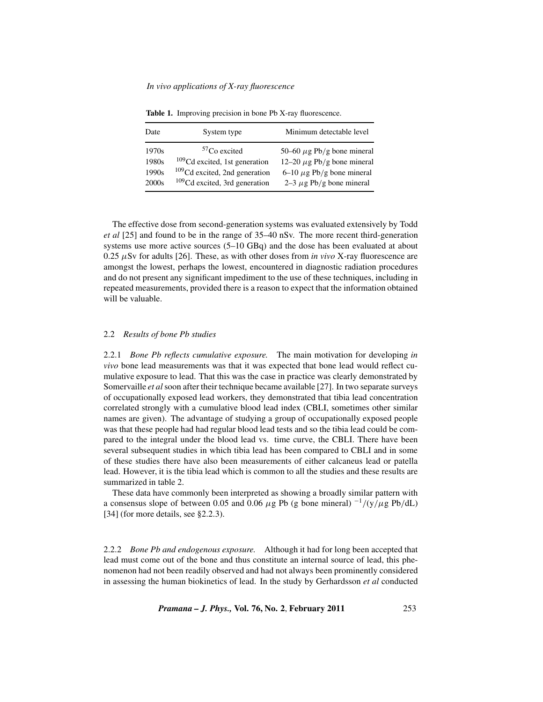| Date              | System type                      | Minimum detectable level        |
|-------------------|----------------------------------|---------------------------------|
| 1970s             | $57$ Co excited                  | 50–60 $\mu$ g Pb/g bone mineral |
| 1980s             | $109$ Cd excited, 1st generation | 12–20 $\mu$ g Pb/g bone mineral |
| 1990s             | $109$ Cd excited, 2nd generation | $6-10 \mu$ g Pb/g bone mineral  |
| 2000 <sub>s</sub> | $109$ Cd excited, 3rd generation | 2–3 $\mu$ g Pb/g bone mineral   |

**Table 1.** Improving precision in bone Pb X-ray fluorescence.

The effective dose from second-generation systems was evaluated extensively by Todd *et al* [25] and found to be in the range of 35–40 nSv. The more recent third-generation systems use more active sources (5–10 GBq) and the dose has been evaluated at about 0.25 μSv for adults [26]. These, as with other doses from *in vivo* X-ray fluorescence are amongst the lowest, perhaps the lowest, encountered in diagnostic radiation procedures and do not present any significant impediment to the use of these techniques, including in repeated measurements, provided there is a reason to expect that the information obtained will be valuable.

#### 2.2 *Results of bone Pb studies*

2.2.1 *Bone Pb reflects cumulative exposure.* The main motivation for developing *in vivo* bone lead measurements was that it was expected that bone lead would reflect cumulative exposure to lead. That this was the case in practice was clearly demonstrated by Somervaille *et al* soon after their technique became available [27]. In two separate surveys of occupationally exposed lead workers, they demonstrated that tibia lead concentration correlated strongly with a cumulative blood lead index (CBLI, sometimes other similar names are given). The advantage of studying a group of occupationally exposed people was that these people had had regular blood lead tests and so the tibia lead could be compared to the integral under the blood lead vs. time curve, the CBLI. There have been several subsequent studies in which tibia lead has been compared to CBLI and in some of these studies there have also been measurements of either calcaneus lead or patella lead. However, it is the tibia lead which is common to all the studies and these results are summarized in table 2.

These data have commonly been interpreted as showing a broadly similar pattern with a consensus slope of between 0.05 and 0.06  $\mu$ g Pb (g bone mineral) <sup>-1</sup>/(y/ $\mu$ g Pb/dL) [34] (for more details, see §2.2.3).

2.2.2 *Bone Pb and endogenous exposure.* Although it had for long been accepted that lead must come out of the bone and thus constitute an internal source of lead, this phenomenon had not been readily observed and had not always been prominently considered in assessing the human biokinetics of lead. In the study by Gerhardsson *et al* conducted

*Pramana – J. Phys.,* **Vol. 76, No. 2**, **February 2011** 253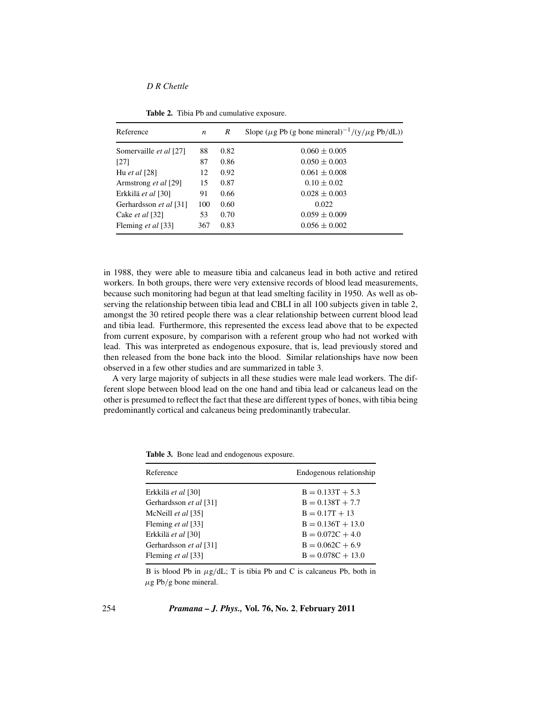| Reference              | n   | R    | Slope ( $\mu$ g Pb (g bone mineral) <sup>-1</sup> /(y/ $\mu$ g Pb/dL)) |
|------------------------|-----|------|------------------------------------------------------------------------|
| Somervaille et al [27] | 88  | 0.82 | $0.060 \pm 0.005$                                                      |
| [27]                   | 87  | 0.86 | $0.050 \pm 0.003$                                                      |
| Hu et al [28]          | 12  | 0.92 | $0.061 \pm 0.008$                                                      |
| Armstrong et al [29]   | 15  | 0.87 | $0.10 \pm 0.02$                                                        |
| Erkkilä et al [30]     | 91  | 0.66 | $0.028 \pm 0.003$                                                      |
| Gerhardsson et al [31] | 100 | 0.60 | 0.022                                                                  |
| Cake et al [32]        | 53  | 0.70 | $0.059 \pm 0.009$                                                      |
| Fleming et al [33]     | 367 | 0.83 | $0.056 \pm 0.002$                                                      |

**Table 2.** Tibia Pb and cumulative exposure.

in 1988, they were able to measure tibia and calcaneus lead in both active and retired workers. In both groups, there were very extensive records of blood lead measurements, because such monitoring had begun at that lead smelting facility in 1950. As well as observing the relationship between tibia lead and CBLI in all 100 subjects given in table 2, amongst the 30 retired people there was a clear relationship between current blood lead and tibia lead. Furthermore, this represented the excess lead above that to be expected from current exposure, by comparison with a referent group who had not worked with lead. This was interpreted as endogenous exposure, that is, lead previously stored and then released from the bone back into the blood. Similar relationships have now been observed in a few other studies and are summarized in table 3.

A very large majority of subjects in all these studies were male lead workers. The different slope between blood lead on the one hand and tibia lead or calcaneus lead on the other is presumed to reflect the fact that these are different types of bones, with tibia being predominantly cortical and calcaneus being predominantly trabecular.

| Reference              | Endogenous relationship |
|------------------------|-------------------------|
| Erkkilä et al [30]     | $B = 0.133T + 5.3$      |
| Gerhardsson et al [31] | $B = 0.138T + 7.7$      |
| McNeill et al [35]     | $B = 0.17T + 13$        |
| Fleming et al [33]     | $B = 0.136T + 13.0$     |
| Erkkilä et al [30]     | $B = 0.072C + 4.0$      |
| Gerhardsson et al [31] | $B = 0.062C + 6.9$      |
| Fleming et al [33]     | $B = 0.078C + 13.0$     |

**Table 3.** Bone lead and endogenous exposure.

B is blood Pb in  $\mu$ g/dL; T is tibia Pb and C is calcaneus Pb, both in  $\mu$ g Pb/g bone mineral.

254 *Pramana – J. Phys.,* **Vol. 76, No. 2**, **February 2011**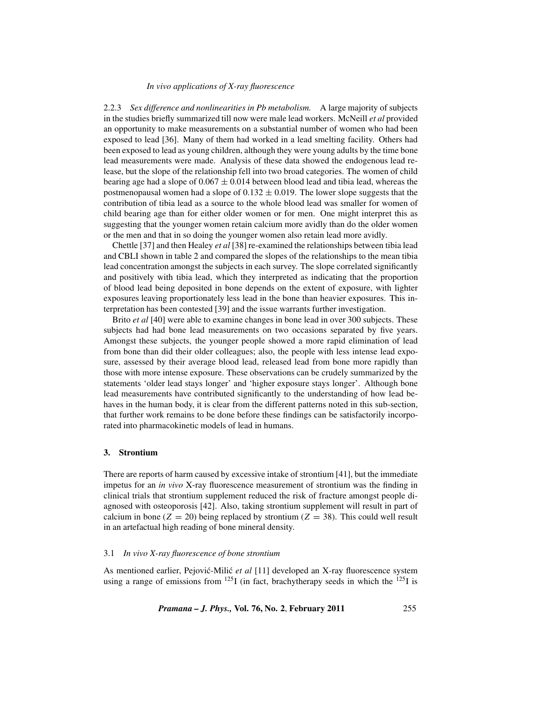2.2.3 *Sex difference and nonlinearities in Pb metabolism.* A large majority of subjects in the studies briefly summarized till now were male lead workers. McNeill *et al* provided an opportunity to make measurements on a substantial number of women who had been exposed to lead [36]. Many of them had worked in a lead smelting facility. Others had been exposed to lead as young children, although they were young adults by the time bone lead measurements were made. Analysis of these data showed the endogenous lead release, but the slope of the relationship fell into two broad categories. The women of child bearing age had a slope of  $0.067 \pm 0.014$  between blood lead and tibia lead, whereas the postmenopausal women had a slope of  $0.132 \pm 0.019$ . The lower slope suggests that the contribution of tibia lead as a source to the whole blood lead was smaller for women of child bearing age than for either older women or for men. One might interpret this as suggesting that the younger women retain calcium more avidly than do the older women or the men and that in so doing the younger women also retain lead more avidly.

Chettle [37] and then Healey *et al* [38] re-examined the relationships between tibia lead and CBLI shown in table 2 and compared the slopes of the relationships to the mean tibia lead concentration amongst the subjects in each survey. The slope correlated significantly and positively with tibia lead, which they interpreted as indicating that the proportion of blood lead being deposited in bone depends on the extent of exposure, with lighter exposures leaving proportionately less lead in the bone than heavier exposures. This interpretation has been contested [39] and the issue warrants further investigation.

Brito *et al* [40] were able to examine changes in bone lead in over 300 subjects. These subjects had had bone lead measurements on two occasions separated by five years. Amongst these subjects, the younger people showed a more rapid elimination of lead from bone than did their older colleagues; also, the people with less intense lead exposure, assessed by their average blood lead, released lead from bone more rapidly than those with more intense exposure. These observations can be crudely summarized by the statements 'older lead stays longer' and 'higher exposure stays longer'. Although bone lead measurements have contributed significantly to the understanding of how lead behaves in the human body, it is clear from the different patterns noted in this sub-section, that further work remains to be done before these findings can be satisfactorily incorporated into pharmacokinetic models of lead in humans.

# **3. Strontium**

There are reports of harm caused by excessive intake of strontium [41], but the immediate impetus for an *in vivo* X-ray fluorescence measurement of strontium was the finding in clinical trials that strontium supplement reduced the risk of fracture amongst people diagnosed with osteoporosis [42]. Also, taking strontium supplement will result in part of calcium in bone ( $Z = 20$ ) being replaced by strontium ( $Z = 38$ ). This could well result in an artefactual high reading of bone mineral density.

#### 3.1 *In vivo X-ray fluorescence of bone strontium*

As mentioned earlier, Pejović-Milić et al [11] developed an X-ray fluorescence system using a range of emissions from  $^{125}$ I (in fact, brachytherapy seeds in which the  $^{125}$ I is

*Pramana – J. Phys.,* **Vol. 76, No. 2**, **February 2011** 255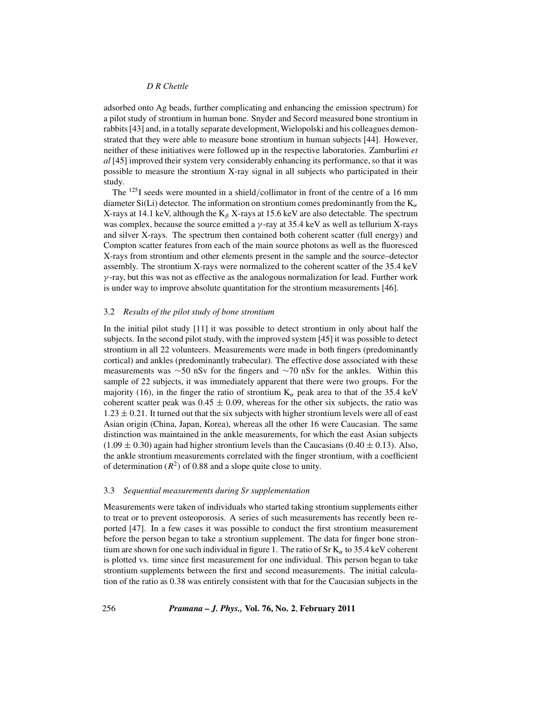adsorbed onto Ag beads, further complicating and enhancing the emission spectrum) for a pilot study of strontium in human bone. Snyder and Secord measured bone strontium in rabbits [43] and, in a totally separate development, Wielopolski and his colleagues demonstrated that they were able to measure bone strontium in human subjects [44]. However, neither of these initiatives were followed up in the respective laboratories. Zamburlini *et al* [45] improved their system very considerably enhancing its performance, so that it was possible to measure the strontium X-ray signal in all subjects who participated in their study.

The 125I seeds were mounted in a shield/collimator in front of the centre of a 16 mm diameter Si(Li) detector. The information on strontium comes predominantly from the  $K_{\alpha}$ X-rays at 14.1 keV, although the K $\beta$  X-rays at 15.6 keV are also detectable. The spectrum was complex, because the source emitted a  $\gamma$ -ray at 35.4 keV as well as tellurium X-rays and silver X-rays. The spectrum then contained both coherent scatter (full energy) and Compton scatter features from each of the main source photons as well as the fluoresced X-rays from strontium and other elements present in the sample and the source–detector assembly. The strontium X-rays were normalized to the coherent scatter of the 35.4 keV  $\gamma$ -ray, but this was not as effective as the analogous normalization for lead. Further work is under way to improve absolute quantitation for the strontium measurements [46].

## 3.2 *Results of the pilot study of bone strontium*

In the initial pilot study [11] it was possible to detect strontium in only about half the subjects. In the second pilot study, with the improved system [45] it was possible to detect strontium in all 22 volunteers. Measurements were made in both fingers (predominantly cortical) and ankles (predominantly trabecular). The effective dose associated with these measurements was ∼50 nSv for the fingers and ∼70 nSv for the ankles. Within this sample of 22 subjects, it was immediately apparent that there were two groups. For the majority (16), in the finger the ratio of strontium  $K_{\alpha}$  peak area to that of the 35.4 keV coherent scatter peak was  $0.45 \pm 0.09$ , whereas for the other six subjects, the ratio was  $1.23 \pm 0.21$ . It turned out that the six subjects with higher strontium levels were all of east Asian origin (China, Japan, Korea), whereas all the other 16 were Caucasian. The same distinction was maintained in the ankle measurements, for which the east Asian subjects  $(1.09 \pm 0.30)$  again had higher strontium levels than the Caucasians  $(0.40 \pm 0.13)$ . Also, the ankle strontium measurements correlated with the finger strontium, with a coefficient of determination  $(R^2)$  of 0.88 and a slope quite close to unity.

#### 3.3 *Sequential measurements during Sr supplementation*

Measurements were taken of individuals who started taking strontium supplements either to treat or to prevent osteoporosis. A series of such measurements has recently been reported [47]. In a few cases it was possible to conduct the first strontium measurement before the person began to take a strontium supplement. The data for finger bone strontium are shown for one such individual in figure 1. The ratio of Sr  $K_{\alpha}$  to 35.4 keV coherent is plotted vs. time since first measurement for one individual. This person began to take strontium supplements between the first and second measurements. The initial calculation of the ratio as 0.38 was entirely consistent with that for the Caucasian subjects in the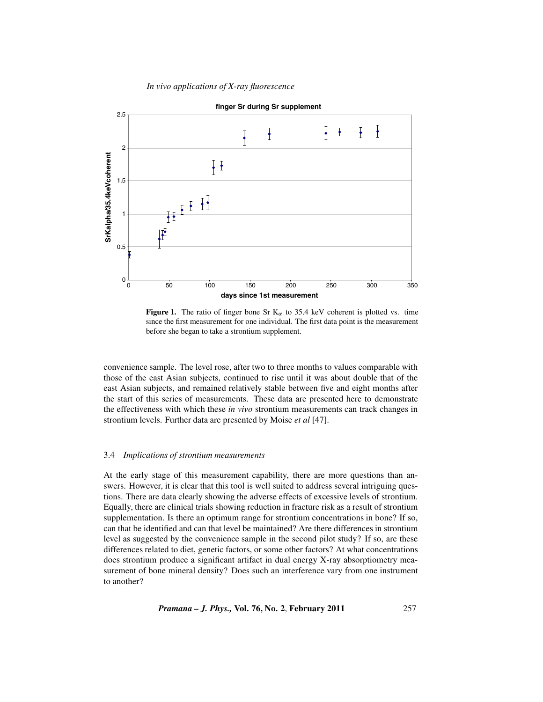*In vivo applications of X-ray fluorescence*



**Figure 1.** The ratio of finger bone Sr  $K_{\alpha}$  to 35.4 keV coherent is plotted vs. time since the first measurement for one individual. The first data point is the measurement before she began to take a strontium supplement.

convenience sample. The level rose, after two to three months to values comparable with those of the east Asian subjects, continued to rise until it was about double that of the east Asian subjects, and remained relatively stable between five and eight months after the start of this series of measurements. These data are presented here to demonstrate the effectiveness with which these *in vivo* strontium measurements can track changes in strontium levels. Further data are presented by Moise *et al* [47].

#### 3.4 *Implications of strontium measurements*

At the early stage of this measurement capability, there are more questions than answers. However, it is clear that this tool is well suited to address several intriguing questions. There are data clearly showing the adverse effects of excessive levels of strontium. Equally, there are clinical trials showing reduction in fracture risk as a result of strontium supplementation. Is there an optimum range for strontium concentrations in bone? If so, can that be identified and can that level be maintained? Are there differences in strontium level as suggested by the convenience sample in the second pilot study? If so, are these differences related to diet, genetic factors, or some other factors? At what concentrations does strontium produce a significant artifact in dual energy X-ray absorptiometry measurement of bone mineral density? Does such an interference vary from one instrument to another?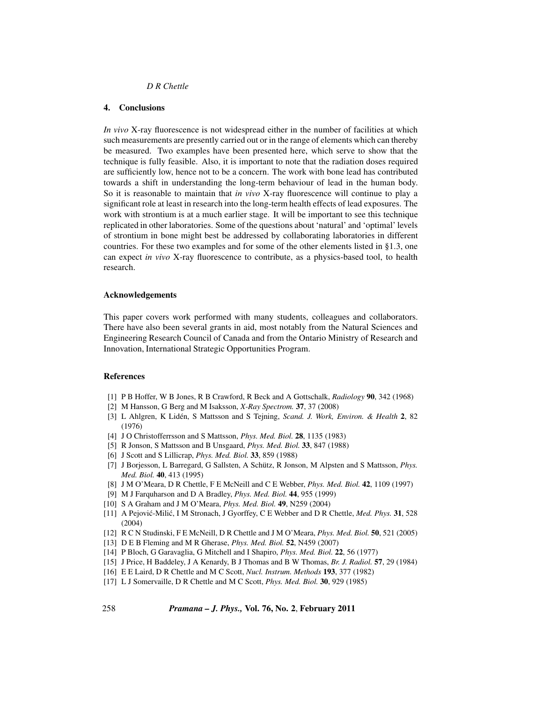## **4. Conclusions**

*In vivo* X-ray fluorescence is not widespread either in the number of facilities at which such measurements are presently carried out or in the range of elements which can thereby be measured. Two examples have been presented here, which serve to show that the technique is fully feasible. Also, it is important to note that the radiation doses required are sufficiently low, hence not to be a concern. The work with bone lead has contributed towards a shift in understanding the long-term behaviour of lead in the human body. So it is reasonable to maintain that *in vivo* X-ray fluorescence will continue to play a significant role at least in research into the long-term health effects of lead exposures. The work with strontium is at a much earlier stage. It will be important to see this technique replicated in other laboratories. Some of the questions about 'natural' and 'optimal' levels of strontium in bone might best be addressed by collaborating laboratories in different countries. For these two examples and for some of the other elements listed in §1.3, one can expect *in vivo* X-ray fluorescence to contribute, as a physics-based tool, to health research.

## **Acknowledgements**

This paper covers work performed with many students, colleagues and collaborators. There have also been several grants in aid, most notably from the Natural Sciences and Engineering Research Council of Canada and from the Ontario Ministry of Research and Innovation, International Strategic Opportunities Program.

#### **References**

- [1] P B Hoffer, W B Jones, R B Crawford, R Beck and A Gottschalk, *Radiology* **90**, 342 (1968)
- [2] M Hansson, G Berg and M Isaksson, *X-Ray Spectrom.* **37**, 37 (2008)
- [3] L Ahlgren, K Lidén, S Mattsson and S Tejning, *Scand. J. Work, Environ. & Health* **2**, 82 (1976)
- [4] J O Christofferrsson and S Mattsson, *Phys. Med. Biol.* **28**, 1135 (1983)
- [5] R Jonson, S Mattsson and B Unsgaard, *Phys. Med. Biol.* **33**, 847 (1988)
- [6] J Scott and S Lillicrap, *Phys. Med. Biol.* **33**, 859 (1988)
- [7] J Borjesson, L Barregard, G Sallsten, A Schütz, R Jonson, M Alpsten and S Mattsson, *Phys. Med. Biol.* **40**, 413 (1995)
- [8] J M O'Meara, D R Chettle, F E McNeill and C E Webber, *Phys. Med. Biol.* **42**, 1109 (1997)
- [9] M J Farquharson and D A Bradley, *Phys. Med. Biol.* **44**, 955 (1999)
- [10] S A Graham and J M O'Meara, *Phys. Med. Biol.* **49**, N259 (2004)
- [11] A Pejović-Milić, I M Stronach, J Gyorffey, C E Webber and D R Chettle, Med. Phys. 31, 528 (2004)
- [12] R C N Studinski, F E McNeill, D R Chettle and J M O'Meara, *Phys. Med. Biol.* **50**, 521 (2005)
- [13] D E B Fleming and M R Gherase, *Phys. Med. Biol.* **52**, N459 (2007)
- [14] P Bloch, G Garavaglia, G Mitchell and I Shapiro, *Phys. Med. Biol.* **22**, 56 (1977)
- [15] J Price, H Baddeley, J A Kenardy, B J Thomas and B W Thomas, *Br. J. Radiol.* **57**, 29 (1984)
- [16] E E Laird, D R Chettle and M C Scott, *Nucl. Instrum. Methods* **193**, 377 (1982)
- [17] L J Somervaille, D R Chettle and M C Scott, *Phys. Med. Biol.* **30**, 929 (1985)